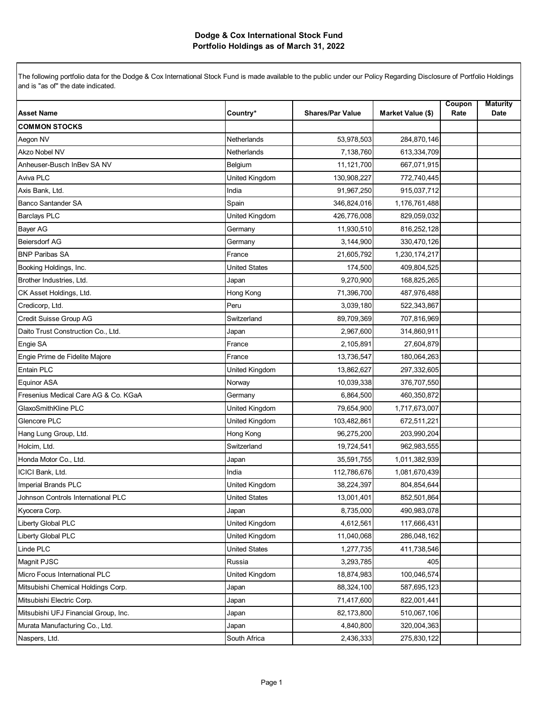| <b>Asset Name</b>                    | Country*             | <b>Shares/Par Value</b> | Market Value (\$) | Coupon<br>Rate | <b>Maturity</b><br>Date |
|--------------------------------------|----------------------|-------------------------|-------------------|----------------|-------------------------|
| <b>COMMON STOCKS</b>                 |                      |                         |                   |                |                         |
| Aegon NV                             | <b>Netherlands</b>   | 53,978,503              | 284,870,146       |                |                         |
| <b>Akzo Nobel NV</b>                 | Netherlands          | 7,138,760               | 613,334,709       |                |                         |
| Anheuser-Busch InBev SA NV           | Belgium              | 11,121,700              | 667,071,915       |                |                         |
| Aviva PLC                            | United Kingdom       | 130,908,227             | 772,740,445       |                |                         |
| Axis Bank, Ltd.                      | India                | 91,967,250              | 915,037,712       |                |                         |
| <b>Banco Santander SA</b>            | Spain                | 346,824,016             | 1,176,761,488     |                |                         |
| <b>Barclays PLC</b>                  | United Kingdom       | 426,776,008             | 829,059,032       |                |                         |
| <b>Bayer AG</b>                      | Germany              | 11,930,510              | 816,252,128       |                |                         |
| <b>Beiersdorf AG</b>                 | Germany              | 3,144,900               | 330,470,126       |                |                         |
| <b>BNP Paribas SA</b>                | France               | 21,605,792              | 1,230,174,217     |                |                         |
| Booking Holdings, Inc.               | United States        | 174,500                 | 409,804,525       |                |                         |
| Brother Industries, Ltd.             | Japan                | 9,270,900               | 168,825,265       |                |                         |
| CK Asset Holdings, Ltd.              | Hong Kong            | 71,396,700              | 487,976,488       |                |                         |
| Credicorp, Ltd.                      | Peru                 | 3,039,180               | 522,343,867       |                |                         |
| Credit Suisse Group AG               | Switzerland          | 89,709,369              | 707,816,969       |                |                         |
| Daito Trust Construction Co., Ltd.   | Japan                | 2,967,600               | 314,860,911       |                |                         |
| Engie SA                             | France               | 2,105,891               | 27,604,879        |                |                         |
| Engie Prime de Fidelite Majore       | France               | 13,736,547              | 180,064,263       |                |                         |
| Entain PLC                           | United Kingdom       | 13,862,627              | 297,332,605       |                |                         |
| <b>Equinor ASA</b>                   | Norway               | 10,039,338              | 376,707,550       |                |                         |
| Fresenius Medical Care AG & Co. KGaA | Germany              | 6,864,500               | 460,350,872       |                |                         |
| GlaxoSmithKline PLC                  | United Kingdom       | 79,654,900              | 1,717,673,007     |                |                         |
| Glencore PLC                         | United Kingdom       | 103,482,861             | 672,511,221       |                |                         |
| Hang Lung Group, Ltd.                | Hong Kong            | 96,275,200              | 203,990,204       |                |                         |
| Holcim, Ltd.                         | Switzerland          | 19,724,541              | 962,983,555       |                |                         |
| Honda Motor Co., Ltd.                | Japan                | 35,591,755              | 1,011,382,939     |                |                         |
| ICICI Bank, Ltd.                     | India                | 112,786,676             | 1,081,670,439     |                |                         |
| Imperial Brands PLC                  | United Kingdom       | 38,224,397              | 804,854,644       |                |                         |
| Johnson Controls International PLC   | <b>United States</b> | 13,001,401              | 852,501,864       |                |                         |
| Kyocera Corp.                        | Japan                | 8,735,000               | 490,983,078       |                |                         |
| Liberty Global PLC                   | United Kingdom       | 4,612,561               | 117,666,431       |                |                         |
| Liberty Global PLC                   | United Kingdom       | 11,040,068              | 286,048,162       |                |                         |
| Linde PLC                            | <b>United States</b> | 1,277,735               | 411,738,546       |                |                         |
| Magnit PJSC                          | Russia               | 3,293,785               | 405               |                |                         |
| Micro Focus International PLC        | United Kingdom       | 18,874,983              | 100,046,574       |                |                         |
| Mitsubishi Chemical Holdings Corp.   | Japan                | 88,324,100              | 587,695,123       |                |                         |
| Mitsubishi Electric Corp.            | Japan                | 71,417,600              | 822,001,441       |                |                         |
| Mitsubishi UFJ Financial Group, Inc. | Japan                | 82,173,800              | 510,067,106       |                |                         |
| Murata Manufacturing Co., Ltd.       | Japan                | 4,840,800               | 320,004,363       |                |                         |
| Naspers, Ltd.                        | South Africa         | 2,436,333               | 275,830,122       |                |                         |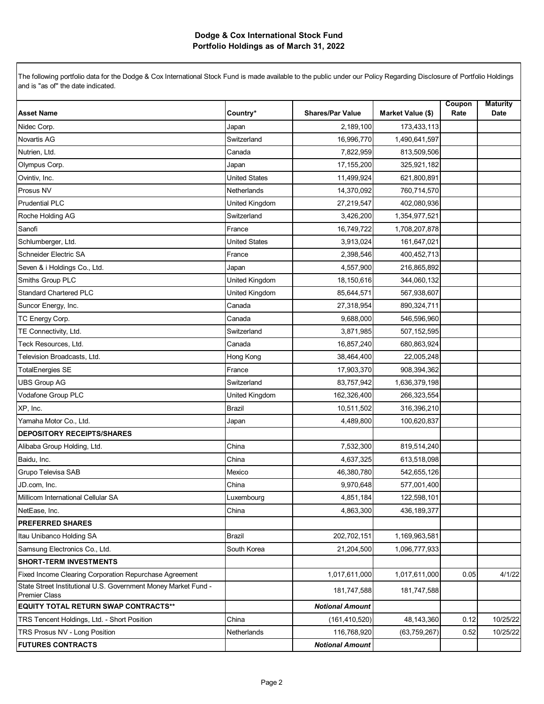| <b>Asset Name</b>                                                                      | Country*             | <b>Shares/Par Value</b> | Market Value (\$) | Coupon<br>Rate | <b>Maturity</b><br>Date |
|----------------------------------------------------------------------------------------|----------------------|-------------------------|-------------------|----------------|-------------------------|
| Nidec Corp.                                                                            | Japan                | 2,189,100               | 173,433,113       |                |                         |
| <b>Novartis AG</b>                                                                     | Switzerland          | 16,996,770              | 1,490,641,597     |                |                         |
| Nutrien, Ltd.                                                                          | Canada               | 7,822,959               | 813,509,506       |                |                         |
| Olympus Corp.                                                                          | Japan                | 17,155,200              | 325,921,182       |                |                         |
| Ovintiv, Inc.                                                                          | <b>United States</b> | 11,499,924              | 621,800,891       |                |                         |
| Prosus NV                                                                              | Netherlands          | 14,370,092              | 760,714,570       |                |                         |
| <b>Prudential PLC</b>                                                                  | United Kingdom       | 27,219,547              | 402,080,936       |                |                         |
| Roche Holding AG                                                                       | Switzerland          | 3,426,200               | 1,354,977,521     |                |                         |
| Sanofi                                                                                 | France               | 16,749,722              | 1,708,207,878     |                |                         |
| Schlumberger, Ltd.                                                                     | <b>United States</b> | 3,913,024               | 161,647,021       |                |                         |
| Schneider Electric SA                                                                  | France               | 2,398,546               | 400,452,713       |                |                         |
| Seven & i Holdings Co., Ltd.                                                           | Japan                | 4,557,900               | 216,865,892       |                |                         |
| Smiths Group PLC                                                                       | United Kingdom       | 18,150,616              | 344,060,132       |                |                         |
| <b>Standard Chartered PLC</b>                                                          | United Kingdom       | 85,644,571              | 567,938,607       |                |                         |
| Suncor Energy, Inc.                                                                    | Canada               | 27,318,954              | 890,324,711       |                |                         |
| TC Energy Corp.                                                                        | Canada               | 9,688,000               | 546,596,960       |                |                         |
| TE Connectivity, Ltd.                                                                  | Switzerland          | 3,871,985               | 507,152,595       |                |                         |
| Teck Resources, Ltd.                                                                   | Canada               | 16,857,240              | 680,863,924       |                |                         |
| Television Broadcasts, Ltd.                                                            | Hong Kong            | 38,464,400              | 22,005,248        |                |                         |
| <b>TotalEnergies SE</b>                                                                | France               | 17,903,370              | 908,394,362       |                |                         |
| <b>UBS Group AG</b>                                                                    | Switzerland          | 83,757,942              | 1,636,379,198     |                |                         |
| Vodafone Group PLC                                                                     | United Kingdom       | 162,326,400             | 266,323,554       |                |                         |
| XP, Inc.                                                                               | <b>Brazil</b>        | 10,511,502              | 316,396,210       |                |                         |
| Yamaha Motor Co., Ltd.                                                                 | Japan                | 4,489,800               | 100,620,837       |                |                         |
| <b>DEPOSITORY RECEIPTS/SHARES</b>                                                      |                      |                         |                   |                |                         |
| Alibaba Group Holding, Ltd.                                                            | China                | 7,532,300               | 819,514,240       |                |                         |
| Baidu, Inc.                                                                            | China                | 4,637,325               | 613,518,098       |                |                         |
| Grupo Televisa SAB                                                                     | Mexico               | 46,380,780              | 542,655,126       |                |                         |
| JD.com, Inc.                                                                           | China                | 9,970,648               | 577,001,400       |                |                         |
| Millicom International Cellular SA                                                     | Luxembourg           | 4,851,184               | 122,598,101       |                |                         |
| NetEase, Inc.                                                                          | China                | 4,863,300               | 436, 189, 377     |                |                         |
| <b>PREFERRED SHARES</b>                                                                |                      |                         |                   |                |                         |
| Itau Unibanco Holding SA                                                               | <b>Brazil</b>        | 202,702,151             | 1,169,963,581     |                |                         |
| Samsung Electronics Co., Ltd.                                                          | South Korea          | 21,204,500              | 1,096,777,933     |                |                         |
| <b>SHORT-TERM INVESTMENTS</b>                                                          |                      |                         |                   |                |                         |
| Fixed Income Clearing Corporation Repurchase Agreement                                 |                      | 1,017,611,000           | 1,017,611,000     | 0.05           | 4/1/22                  |
| State Street Institutional U.S. Government Money Market Fund -<br><b>Premier Class</b> |                      | 181,747,588             | 181,747,588       |                |                         |
| <b>EQUITY TOTAL RETURN SWAP CONTRACTS**</b>                                            |                      | <b>Notional Amount</b>  |                   |                |                         |
| TRS Tencent Holdings, Ltd. - Short Position                                            | China                | (161, 410, 520)         | 48,143,360        | 0.12           | 10/25/22                |
| TRS Prosus NV - Long Position                                                          | Netherlands          | 116,768,920             | (63, 759, 267)    | 0.52           | 10/25/22                |
| <b>FUTURES CONTRACTS</b>                                                               |                      | <b>Notional Amount</b>  |                   |                |                         |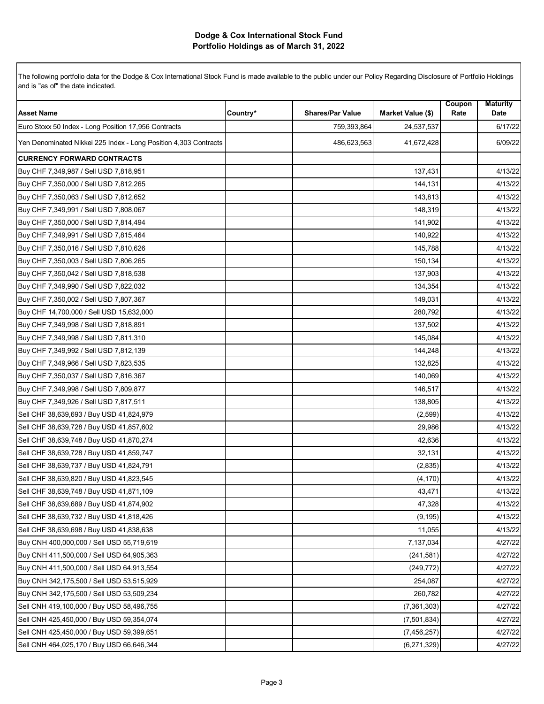| <b>Asset Name</b>                                                | Country* | <b>Shares/Par Value</b> | Market Value (\$) | Coupon<br>Rate | <b>Maturity</b><br>Date |
|------------------------------------------------------------------|----------|-------------------------|-------------------|----------------|-------------------------|
| Euro Stoxx 50 Index - Long Position 17,956 Contracts             |          | 759,393,864             | 24,537,537        |                | 6/17/22                 |
| Yen Denominated Nikkei 225 Index - Long Position 4,303 Contracts |          | 486,623,563             | 41,672,428        |                | 6/09/22                 |
| <b>CURRENCY FORWARD CONTRACTS</b>                                |          |                         |                   |                |                         |
| Buy CHF 7,349,987 / Sell USD 7,818,951                           |          |                         | 137,431           |                | 4/13/22                 |
| Buy CHF 7,350,000 / Sell USD 7,812,265                           |          |                         | 144,131           |                | 4/13/22                 |
| Buy CHF 7,350,063 / Sell USD 7,812,652                           |          |                         | 143,813           |                | 4/13/22                 |
| Buy CHF 7,349,991 / Sell USD 7,808,067                           |          |                         | 148,319           |                | 4/13/22                 |
| Buy CHF 7,350,000 / Sell USD 7,814,494                           |          |                         | 141,902           |                | 4/13/22                 |
| Buy CHF 7,349,991 / Sell USD 7,815,464                           |          |                         | 140,922           |                | 4/13/22                 |
| Buy CHF 7,350,016 / Sell USD 7,810,626                           |          |                         | 145,788           |                | 4/13/22                 |
| Buy CHF 7,350,003 / Sell USD 7,806,265                           |          |                         | 150,134           |                | 4/13/22                 |
| Buy CHF 7,350,042 / Sell USD 7,818,538                           |          |                         | 137,903           |                | 4/13/22                 |
| Buy CHF 7,349,990 / Sell USD 7,822,032                           |          |                         | 134,354           |                | 4/13/22                 |
| Buy CHF 7,350,002 / Sell USD 7,807,367                           |          |                         | 149,031           |                | 4/13/22                 |
| Buy CHF 14,700,000 / Sell USD 15,632,000                         |          |                         | 280,792           |                | 4/13/22                 |
| Buy CHF 7,349,998 / Sell USD 7,818,891                           |          |                         | 137,502           |                | 4/13/22                 |
| Buy CHF 7,349,998 / Sell USD 7,811,310                           |          |                         | 145,084           |                | 4/13/22                 |
| Buy CHF 7,349,992 / Sell USD 7,812,139                           |          |                         | 144,248           |                | 4/13/22                 |
| Buy CHF 7,349,966 / Sell USD 7,823,535                           |          |                         | 132,825           |                | 4/13/22                 |
| Buy CHF 7,350,037 / Sell USD 7,816,367                           |          |                         | 140,069           |                | 4/13/22                 |
| Buy CHF 7,349,998 / Sell USD 7,809,877                           |          |                         | 146,517           |                | 4/13/22                 |
| Buy CHF 7,349,926 / Sell USD 7,817,511                           |          |                         | 138,805           |                | 4/13/22                 |
| Sell CHF 38,639,693 / Buy USD 41,824,979                         |          |                         | (2, 599)          |                | 4/13/22                 |
| Sell CHF 38,639,728 / Buy USD 41,857,602                         |          |                         | 29,986            |                | 4/13/22                 |
| Sell CHF 38,639,748 / Buy USD 41,870,274                         |          |                         | 42,636            |                | 4/13/22                 |
| Sell CHF 38,639,728 / Buy USD 41,859,747                         |          |                         | 32,131            |                | 4/13/22                 |
| Sell CHF 38,639,737 / Buy USD 41,824,791                         |          |                         | (2,835)           |                | 4/13/22                 |
| Sell CHF 38,639,820 / Buy USD 41,823,545                         |          |                         | (4, 170)          |                | 4/13/22                 |
| Sell CHF 38,639,748 / Buy USD 41,871,109                         |          |                         | 43,471            |                | 4/13/22                 |
| Sell CHF 38,639,689 / Buy USD 41,874,902                         |          |                         | 47,328            |                | 4/13/22                 |
| Sell CHF 38,639,732 / Buy USD 41,818,426                         |          |                         | (9, 195)          |                | 4/13/22                 |
| Sell CHF 38,639,698 / Buy USD 41,838,638                         |          |                         | 11,055            |                | 4/13/22                 |
| Buy CNH 400,000,000 / Sell USD 55,719,619                        |          |                         | 7,137,034         |                | 4/27/22                 |
| Buy CNH 411,500,000 / Sell USD 64,905,363                        |          |                         | (241, 581)        |                | 4/27/22                 |
| Buy CNH 411,500,000 / Sell USD 64,913,554                        |          |                         | (249, 772)        |                | 4/27/22                 |
| Buy CNH 342,175,500 / Sell USD 53,515,929                        |          |                         | 254,087           |                | 4/27/22                 |
| Buy CNH 342,175,500 / Sell USD 53,509,234                        |          |                         | 260,782           |                | 4/27/22                 |
| Sell CNH 419,100,000 / Buy USD 58,496,755                        |          |                         | (7, 361, 303)     |                | 4/27/22                 |
| Sell CNH 425,450,000 / Buy USD 59,354,074                        |          |                         | (7,501,834)       |                | 4/27/22                 |
| Sell CNH 425,450,000 / Buy USD 59,399,651                        |          |                         | (7, 456, 257)     |                | 4/27/22                 |
| Sell CNH 464,025,170 / Buy USD 66,646,344                        |          |                         | (6, 271, 329)     |                | 4/27/22                 |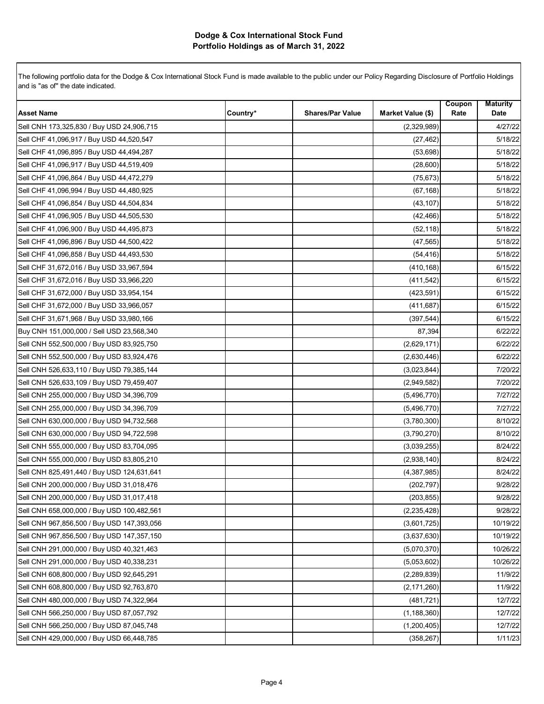| <b>Asset Name</b>                          | Country* | <b>Shares/Par Value</b> | Market Value (\$) | Coupon<br>Rate | <b>Maturity</b><br>Date |
|--------------------------------------------|----------|-------------------------|-------------------|----------------|-------------------------|
| Sell CNH 173,325,830 / Buy USD 24,906,715  |          |                         | (2,329,989)       |                | 4/27/22                 |
| Sell CHF 41,096,917 / Buy USD 44,520,547   |          |                         | (27, 462)         |                | 5/18/22                 |
| Sell CHF 41,096,895 / Buy USD 44,494,287   |          |                         | (53,698)          |                | 5/18/22                 |
| Sell CHF 41,096,917 / Buy USD 44,519,409   |          |                         | (28,600)          |                | 5/18/22                 |
| Sell CHF 41,096,864 / Buy USD 44,472,279   |          |                         | (75, 673)         |                | 5/18/22                 |
| Sell CHF 41,096,994 / Buy USD 44,480,925   |          |                         | (67, 168)         |                | 5/18/22                 |
| Sell CHF 41,096,854 / Buy USD 44,504,834   |          |                         | (43, 107)         |                | 5/18/22                 |
| Sell CHF 41,096,905 / Buy USD 44,505,530   |          |                         | (42, 466)         |                | 5/18/22                 |
| Sell CHF 41,096,900 / Buy USD 44,495,873   |          |                         | (52, 118)         |                | 5/18/22                 |
| Sell CHF 41,096,896 / Buy USD 44,500,422   |          |                         | (47, 565)         |                | 5/18/22                 |
| Sell CHF 41,096,858 / Buy USD 44,493,530   |          |                         | (54, 416)         |                | 5/18/22                 |
| Sell CHF 31,672,016 / Buy USD 33,967,594   |          |                         | (410, 168)        |                | 6/15/22                 |
| Sell CHF 31,672,016 / Buy USD 33,966,220   |          |                         | (411, 542)        |                | 6/15/22                 |
| Sell CHF 31,672,000 / Buy USD 33,954,154   |          |                         | (423, 591)        |                | 6/15/22                 |
| Sell CHF 31,672,000 / Buy USD 33,966,057   |          |                         | (411, 687)        |                | 6/15/22                 |
| Sell CHF 31,671,968 / Buy USD 33,980,166   |          |                         | (397, 544)        |                | 6/15/22                 |
| Buy CNH 151,000,000 / Sell USD 23,568,340  |          |                         | 87,394            |                | 6/22/22                 |
| Sell CNH 552,500,000 / Buy USD 83,925,750  |          |                         | (2,629,171)       |                | 6/22/22                 |
| Sell CNH 552,500,000 / Buy USD 83,924,476  |          |                         | (2,630,446)       |                | 6/22/22                 |
| Sell CNH 526,633,110 / Buy USD 79,385,144  |          |                         | (3,023,844)       |                | 7/20/22                 |
| Sell CNH 526,633,109 / Buy USD 79,459,407  |          |                         | (2,949,582)       |                | 7/20/22                 |
| Sell CNH 255,000,000 / Buy USD 34,396,709  |          |                         | (5,496,770)       |                | 7/27/22                 |
| Sell CNH 255,000,000 / Buy USD 34,396,709  |          |                         | (5,496,770)       |                | 7/27/22                 |
| Sell CNH 630,000,000 / Buy USD 94,732,568  |          |                         | (3,780,300)       |                | 8/10/22                 |
| Sell CNH 630,000,000 / Buy USD 94,722,598  |          |                         | (3,790,270)       |                | 8/10/22                 |
| Sell CNH 555,000,000 / Buy USD 83,704,095  |          |                         | (3,039,255)       |                | 8/24/22                 |
| Sell CNH 555,000,000 / Buy USD 83,805,210  |          |                         | (2,938,140)       |                | 8/24/22                 |
| Sell CNH 825,491,440 / Buy USD 124,631,641 |          |                         | (4,387,985)       |                | 8/24/22                 |
| Sell CNH 200,000,000 / Buy USD 31,018,476  |          |                         | (202, 797)        |                | 9/28/22                 |
| Sell CNH 200,000,000 / Buy USD 31,017,418  |          |                         | (203, 855)        |                | 9/28/22                 |
| Sell CNH 658,000,000 / Buy USD 100,482,561 |          |                         | (2, 235, 428)     |                | 9/28/22                 |
| Sell CNH 967,856,500 / Buy USD 147,393,056 |          |                         | (3,601,725)       |                | 10/19/22                |
| Sell CNH 967,856,500 / Buy USD 147,357,150 |          |                         | (3,637,630)       |                | 10/19/22                |
| Sell CNH 291,000,000 / Buy USD 40,321,463  |          |                         | (5,070,370)       |                | 10/26/22                |
| Sell CNH 291,000,000 / Buy USD 40,338,231  |          |                         | (5,053,602)       |                | 10/26/22                |
| Sell CNH 608,800,000 / Buy USD 92,645,291  |          |                         | (2, 289, 839)     |                | 11/9/22                 |
| Sell CNH 608,800,000 / Buy USD 92,763,870  |          |                         | (2, 171, 260)     |                | 11/9/22                 |
| Sell CNH 480,000,000 / Buy USD 74,322,964  |          |                         | (481, 721)        |                | 12/7/22                 |
| Sell CNH 566,250,000 / Buy USD 87,057,792  |          |                         | (1, 188, 360)     |                | 12/7/22                 |
| Sell CNH 566,250,000 / Buy USD 87,045,748  |          |                         | (1,200,405)       |                | 12/7/22                 |
| Sell CNH 429,000,000 / Buy USD 66,448,785  |          |                         | (358, 267)        |                | 1/11/23                 |